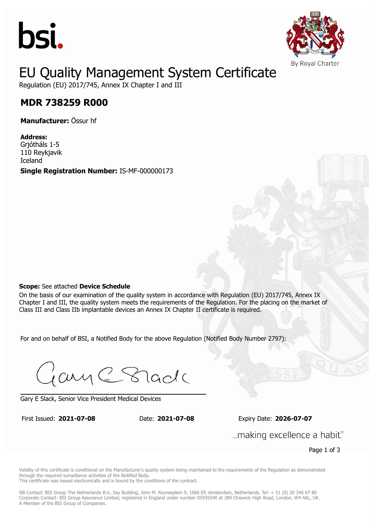



## EU Quality Management System Certificate

Regulation (EU) 2017/745, Annex IX Chapter I and III

#### **MDR 738259 R000 MDR 738259 R000**

**Manufacturer:** Össur hf

**Address:** Grjótháls 1-5 110 Reykjavik Iceland

**Single Registration Number:** IS-MF-000000173

#### **Scope:** See attached **Device Schedule**

On the basis of our examination of the quality system in accordance with Regulation (EU) 2017/745, Annex IX Chapter I and III, the quality system meets the requirements of the Regulation. For the placing on the market of Class III and Class IIb implantable devices an Annex IX Chapter II certificate is required.

For and on behalf of BSI, a Notified Body for the above Regulation (Notified Body Number 2797):

Gary C Stade

Gary E Slack, Senior Vice President Medical Devices

First Issued: **2021-07-08** Date: **2021-07-08** Expiry Date: **2026-07-07** First Issued: **2021-07-08** Date: **2021-07-08** Expiry Date: **2026-07-07**

... making excellence a habit."

Page 1 of 3

Validity of this certificate is conditional on the Manufacturer's quality system being maintained to the requirements of the Regulation as demonstrated through the required surveillance activities of the Notified Body.

This certificate was issued electronically and is bound by the conditions of the contract.

NB Contact: BSI Group The Netherlands B.V., Say Building, John M. Keynesplein 9, 1066 EP, Amsterdam, Netherlands. Tel: + 31 (0) 20 346 07 80 Corporate Contact: BSI Group Assurance Limited, registered in England under number 05435540 at 389 Chiswick High Road, London, W4 4AL, UK. A Member of the BSI Group of Companies.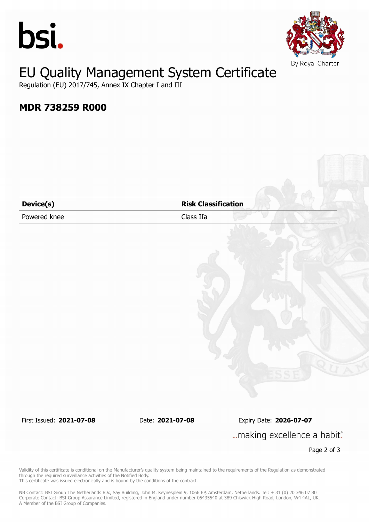



## EU Quality Management System Certificate

Regulation (EU) 2017/745, Annex IX Chapter I and III

### **MDR 738259 R000**

| Device(s)    | <b>Risk Classification</b> |
|--------------|----------------------------|
| Powered knee | Class IIa                  |
|              |                            |
|              |                            |
|              |                            |
|              |                            |
|              |                            |
|              |                            |
|              |                            |
|              |                            |
|              |                            |
|              |                            |
|              |                            |
|              |                            |
|              |                            |

First Issued: **2021-07-08** Date: **2021-07-08** Expiry Date: **2026-07-07** ... making excellence a habit."

Page 2 of 3

Validity of this certificate is conditional on the Manufacturer's quality system being maintained to the requirements of the Regulation as demonstrated through the required surveillance activities of the Notified Body. This certificate was issued electronically and is bound by the conditions of the contract.

NB Contact: BSI Group The Netherlands B.V., Say Building, John M. Keynesplein 9, 1066 EP, Amsterdam, Netherlands. Tel: + 31 (0) 20 346 07 80 Corporate Contact: BSI Group Assurance Limited, registered in England under number 05435540 at 389 Chiswick High Road, London, W4 4AL, UK. A Member of the BSI Group of Companies.